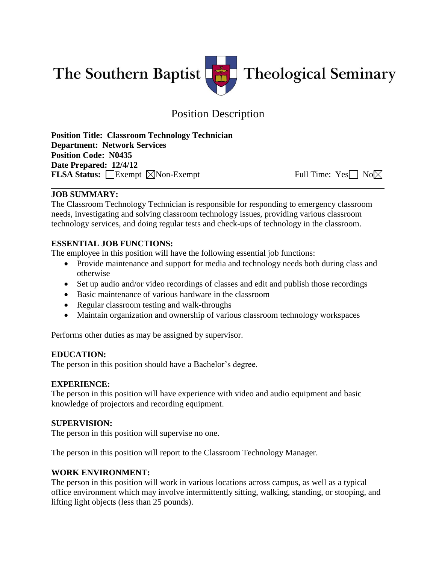

# Position Description

**Position Title: Classroom Technology Technician Department: Network Services Position Code: N0435 Date Prepared: 12/4/12 FLSA Status:** Exempt  $\boxtimes$  Non-Exempt Full Time: Yes No

## **JOB SUMMARY:**

The Classroom Technology Technician is responsible for responding to emergency classroom needs, investigating and solving classroom technology issues, providing various classroom technology services, and doing regular tests and check-ups of technology in the classroom.

## **ESSENTIAL JOB FUNCTIONS:**

The employee in this position will have the following essential job functions:

- Provide maintenance and support for media and technology needs both during class and otherwise
- Set up audio and/or video recordings of classes and edit and publish those recordings
- Basic maintenance of various hardware in the classroom
- Regular classroom testing and walk-throughs
- Maintain organization and ownership of various classroom technology workspaces

Performs other duties as may be assigned by supervisor.

## **EDUCATION:**

The person in this position should have a Bachelor's degree.

## **EXPERIENCE:**

The person in this position will have experience with video and audio equipment and basic knowledge of projectors and recording equipment.

## **SUPERVISION:**

The person in this position will supervise no one.

The person in this position will report to the Classroom Technology Manager.

## **WORK ENVIRONMENT:**

The person in this position will work in various locations across campus, as well as a typical office environment which may involve intermittently sitting, walking, standing, or stooping, and lifting light objects (less than 25 pounds).